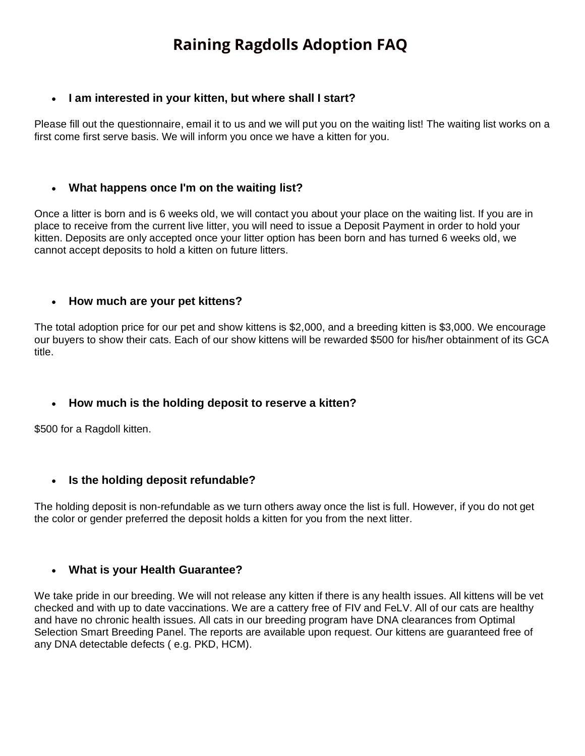# **Raining Ragdolls Adoption FAQ**

### • **I am interested in your kitten, but where shall I start?**

Please fill out the questionnaire, email it to us and we will put you on the waiting list! The waiting list works on a first come first serve basis. We will inform you once we have a kitten for you.

#### • **What happens once I'm on the waiting list?**

Once a litter is born and is 6 weeks old, we will contact you about your place on the waiting list. If you are in place to receive from the current live litter, you will need to issue a Deposit Payment in order to hold your kitten. Deposits are only accepted once your litter option has been born and has turned 6 weeks old, we cannot accept deposits to hold a kitten on future litters.

#### • **How much are your pet kittens?**

The total adoption price for our pet and show kittens is \$2,000, and a breeding kitten is \$3,000. We encourage our buyers to show their cats. Each of our show kittens will be rewarded \$500 for his/her obtainment of its GCA title.

#### • **How much is the holding deposit to reserve a kitten?**

\$500 for a Ragdoll kitten.

# • **Is the holding deposit refundable?**

The holding deposit is non-refundable as we turn others away once the list is full. However, if you do not get the color or gender preferred the deposit holds a kitten for you from the next litter.

#### • **What is your Health Guarantee?**

We take pride in our breeding. We will not release any kitten if there is any health issues. All kittens will be vet checked and with up to date vaccinations. We are a cattery free of FIV and FeLV. All of our cats are healthy and have no chronic health issues. All cats in our breeding program have DNA clearances from Optimal Selection Smart Breeding Panel. The reports are available upon request. Our kittens are guaranteed free of any DNA detectable defects ( e.g. PKD, HCM).